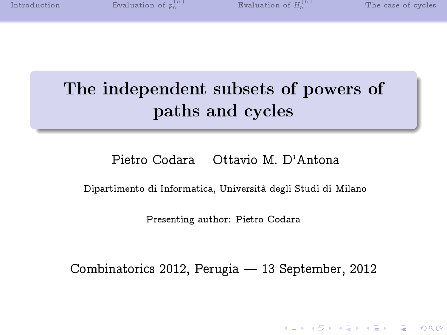**KOR SERVER (ER 1990)** 

# The independent subsets of powers of paths and cycles

## Pietro Codara Ottavio M. D'Antona

Dipartimento di Informatica, Università degli Studi di Milano

Presenting author: Pietro Codara

Combinatorics 2012, Perugia - 13 September, 2012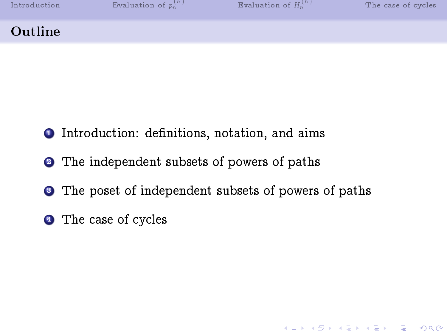|  |  |  | Introduction |  |  |  |
|--|--|--|--------------|--|--|--|
|  |  |  |              |  |  |  |

K ロ ▶ K 個 ▶ K 할 ▶ K 할 ▶ 이 할 → 900

## Outline

- **1** Introduction: definitions, notation, and aims
- **2** The independent subsets of powers of paths
- <sup>3</sup> The poset of independent subsets of powers of paths
- **4** The case of cycles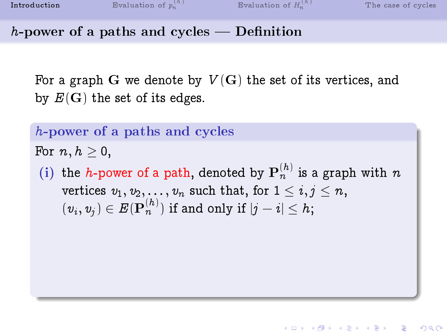**KOR & KERKER ADA KON** 

 $h$ -power of a paths and cycles  $-$  Definition

For a graph G we denote by  $V(G)$  the set of its vertices, and by  $E(G)$  the set of its edges.

h-power of a paths and cycles

For  $n, h \geq 0$ ,

<span id="page-2-0"></span>(i) the *h*-power of a path, denoted by  $\mathbf{P}_n^{(h)}$  is a graph with  $n$ vertices  $v_1, v_2, \ldots, v_n$  such that, for  $1 \leq i, j \leq n$ ,  $\mathbf{y}(v_i,v_j) \in E(\mathbf{P}_n^{(h)})$  if and only if  $|j-i| \leq h;$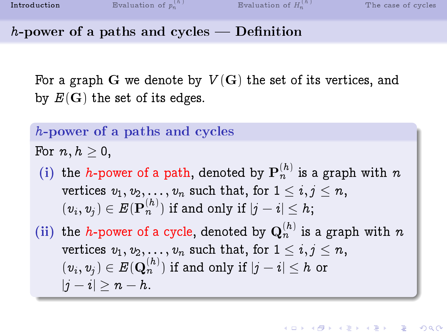h-power of a paths and cycles  $-$  Definition

For a graph G we denote by  $V(G)$  the set of its vertices, and by  $E(G)$  the set of its edges.

h-power of a paths and cycles

For  $n, h \geq 0$ ,

(i) the *h*-power of a path, denoted by  $\mathbf{P}_n^{(h)}$  is a graph with  $n$ vertices  $v_1, v_2, \ldots, v_n$  such that, for  $1 \leq i, j \leq n$ ,  $\mathbf{y}(v_i,v_j) \in E(\mathbf{P}_n^{(h)})$  if and only if  $|j-i| \leq h;$ 

(ii) the *h*-power of a cycle, denoted by  $\mathbf{Q}_n^{(h)}$  is a graph with *n* vertices  $v_1, v_2, \ldots, v_n$  such that, for  $1 \leq i, j \leq n$ ,  $\mathbf{y}(v_i,v_j) \in E(\mathbf{Q}_n^{(h)})$  if and only if  $|j-i| \leq h$  or  $|j - i| > n - h$ .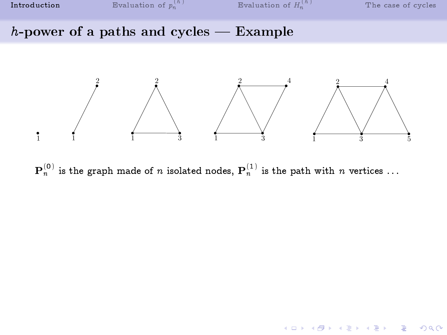K ロ ▶ K 個 ▶ K 할 ▶ K 할 ▶ 이 할 → 900

## $h$ -power of a paths and cycles  $-$  Example



 $\mathbf{P}_n^{(0)}$  is the graph made of  $n$  isolated nodes,  $\mathbf{P}_n^{(1)}$  is the path with  $n$  vertices  $\ldots$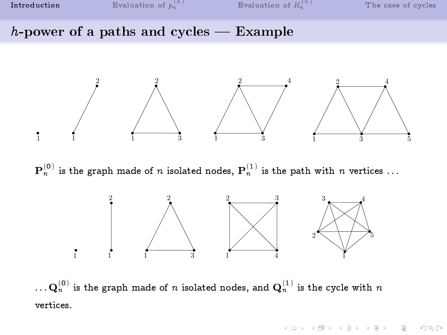K ロ ▶ K 個 ▶ K 할 ▶ K 할 ▶ 이 할 → 900

#### $h$ -power of a paths and cycles  $-$  Example



 $\mathbf{P}_n^{(0)}$  is the graph made of  $n$  isolated nodes,  $\mathbf{P}_n^{(1)}$  is the path with  $n$  vertices  $\ldots$ 



 $\ldots {\bf Q}_n^{(0)}$  is the graph made of  $n$  isolated nodes, and  ${\bf Q}_n^{(1)}$  is the cycle with  $n$ vertices.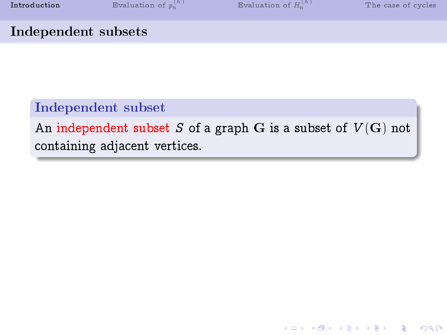**KOR SERVER (ER 1990)** 

## Independent subsets

## Independent subset

An independent subset S of a graph G is a subset of  $V(G)$  not containing adjacent vertices.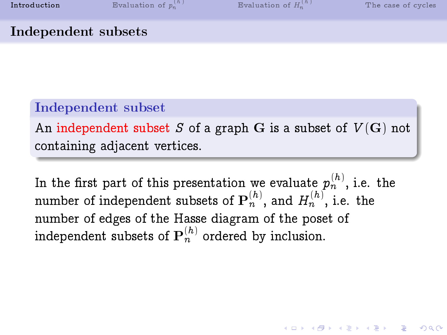**KOR & KERKER ADA KON** 

## Independent subsets

## Independent subset

An independent subset S of a graph G is a subset of  $V(G)$  not containing adjacent vertices.

In the first part of this presentation we evaluate  $p_n^{(h)},$  i.e. the number of independent subsets of  $\mathbf{P}_n^{(h)},$  and  $H_n^{(h)},$  i.e. the number of edges of the Hasse diagram of the poset of independent subsets of  ${\bf P}_n^{(h)}$  ordered by inclusion.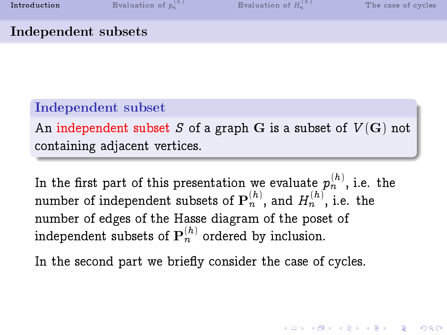## Independent subsets

## Independent subset

An independent subset S of a graph G is a subset of  $V(G)$  not containing adjacent vertices.

In the first part of this presentation we evaluate  $p_n^{(h)},$  i.e. the number of independent subsets of  $\mathbf{P}_n^{(h)},$  and  $H_n^{(h)},$  i.e. the number of edges of the Hasse diagram of the poset of independent subsets of  ${\bf P}_n^{(h)}$  ordered by inclusion.

In the second part we briefly consider the case of cycles.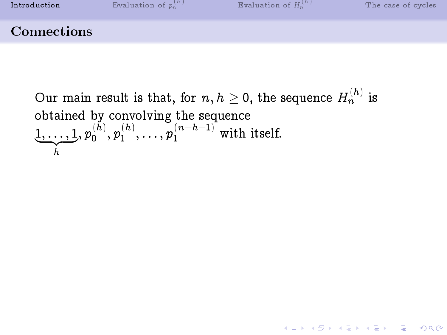Our main result is that, for  $n,h\geq 0,$  the sequence  $H_n^{(h)}$  is obtained by convolving the sequence  $\underbrace{1,\ldots,1}_h, p_0^{(h)}$ h  $\stackrel{(h)}{_{0}},p_1^{(h)}$  $\binom{(h)}{1}, \ldots, p_1^{(n-h-1)}$  with itself.

K ロ ▶ K 個 ▶ K 할 ▶ K 할 ▶ 이 할 → 900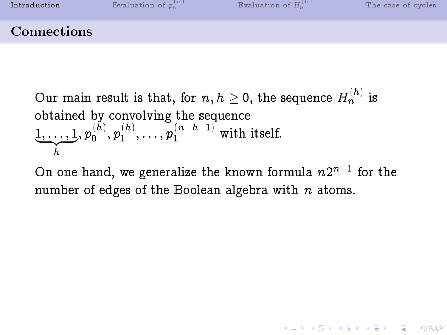Our main result is that, for  $n,h\geq 0,$  the sequence  $H_n^{(h)}$  is obtained by convolving the sequence  $\underbrace{1,\ldots,1}_h, p_0^{(h)}$ h  $\stackrel{(h)}{_{0}},p_1^{(h)}$  $\binom{(h)}{1}, \ldots, p_1^{(n-h-1)}$  with itself.

On one hand, we generalize the known formula  $n2^{n-1}$  for the number of edges of the Boolean algebra with  $n$  atoms.

**K ロ ▶ K 레 ▶ K 코 ▶ K 코 ▶ 『 코 │ ◆ 9 Q ①**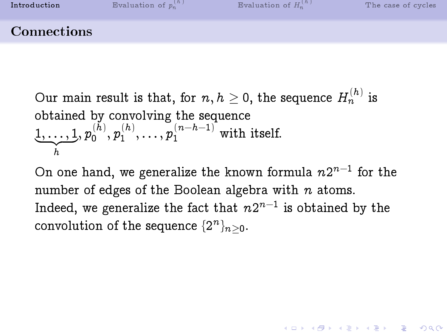Our main result is that, for  $n,h\geq 0,$  the sequence  $H_n^{(h)}$  is obtained by convolving the sequence  $\underbrace{1,\ldots,1}_h, p_0^{(h)}$ h  $\stackrel{(h)}{_{0}},p_1^{(h)}$  $\binom{(h)}{1}, \ldots, p_1^{(n-h-1)}$  with itself.

On one hand, we generalize the known formula  $n2^{n-1}$  for the number of edges of the Boolean algebra with  $n$  atoms. Indeed, we generalize the fact that  $n 2^{n-1}$  is obtained by the convolution of the sequence  $\{2^n\}_{n\geq 0}$ .

**KOD START KED KEN EL VAN**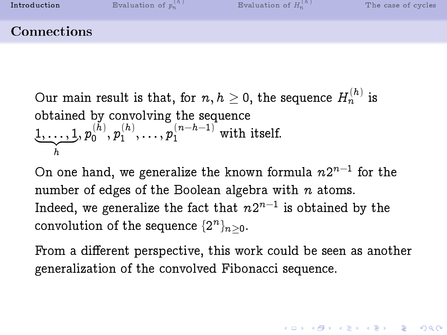Our main result is that, for  $n,h\geq 0,$  the sequence  $H_n^{(h)}$  is obtained by convolving the sequence  $\underbrace{1,\ldots,1}_h, p_0^{(h)}$ h  $\stackrel{(h)}{_{0}},p_1^{(h)}$  $\binom{(h)}{1}, \ldots, p_1^{(n-h-1)}$  with itself.

On one hand, we generalize the known formula  $n2^{n-1}$  for the number of edges of the Boolean algebra with  $n$  atoms. Indeed, we generalize the fact that  $n 2^{n-1}$  is obtained by the convolution of the sequence  $\{2^n\}_{n\geq 0}$ .

From a different perspective, this work could be seen as another generalization of the convolved Fibonacci sequence.

**A DIA 4 B A DIA A B A DIA 4 DIA A DIA B**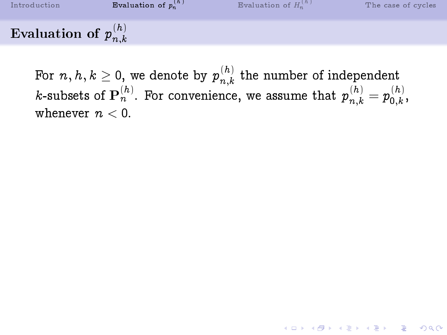[Introduction](#page-2-0) **Evaluation**  $\binom{h}{n}$  [Evaluation of](#page-20-0)  $H_n^{(h)}$ [The case of cycles](#page-36-0) Evaluation of  $p_{n,k}^{(h)}$  $n,k$ 

<span id="page-13-0"></span>For  $n,h,k\geq 0,$  we denote by  $p_{n.k}^{\left(h\right)}$  $\binom{n}{n,k}$  the number of independent *k*-subsets of  $\mathbf{P}_n^{(h)}$ . For convenience, we assume that  $p_{n,k}^{(h)} = p_{0,k}^{(h)}$  $\mathfrak{c}^{(n)}_{0,k}$ whenever  $n < 0$ .

**K ロ ▶ K 레 ▶ K 코 ▶ K 코 ▶ 『코』 ◆ 9 Q OK**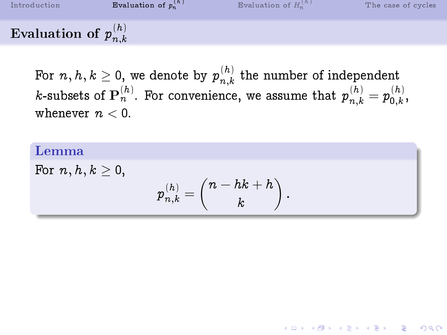Evaluation of  $p_{n,k}^{(h)}$  $n,k$ 

> For  $n,h,k\geq 0,$  we denote by  $p_{n.k}^{\left(h\right)}$  $\binom{n}{n,k}$  the number of independent *k*-subsets of  $\mathbf{P}_n^{(h)}$ . For convenience, we assume that  $p_{n,k}^{(h)} = p_{0,k}^{(h)}$  $\mathfrak{c}^{(n)}_{0,k}$ whenever  $n < 0$ .

## Lemma For  $n, h, k > 0$ ,  $p_{n,k}^{(h)}=\bigg(\begin{matrix} n-hk+h\ k\end{matrix}$ k  $\big).$

**KOR & KERKER ADA KON**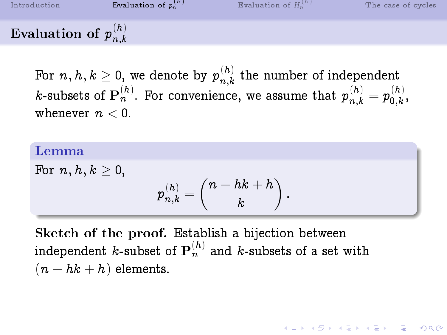Evaluation of  $p_{n,k}^{(h)}$  $n,k$ 

> For  $n,h,k\geq 0,$  we denote by  $p_{n.k}^{\left(h\right)}$  $\binom{n}{n,k}$  the number of independent *k*-subsets of  $\mathbf{P}_n^{(h)}$ . For convenience, we assume that  $p_{n,k}^{(h)} = p_{0,k}^{(h)}$  $\mathfrak{c}^{(n)}_{0,k}$ whenever  $n < 0$ .

#### Lemma

For  $n, h, k > 0$ ,

$$
p^{(h)}_{n,k}=\binom{n-hk+h}{k}\,.
$$

Sketch of the proof. Establish a bijection between independent  $k$ -subset of  $\mathbf{P}_n^{(h)}$  and  $k$ -subsets of a set with  $(n-hk+h)$  elements.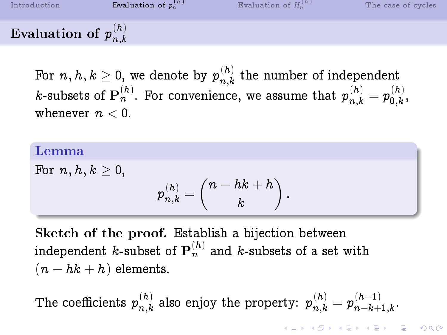[Introduction](#page-2-0) **[Evaluation of](#page-13-0)**  $p_n^{(h)}$  $\binom{h}{n}$  [Evaluation of](#page-20-0)  $H_n^{(h)}$ [The case of cycles](#page-36-0) Evaluation of  $p_{n,k}^{(h)}$ 

 $n,k$ For  $n,h,k\geq 0,$  we denote by  $p_{n.k}^{\left(h\right)}$  $\binom{n}{n,k}$  the number of independent

*k*-subsets of  $\mathbf{P}_n^{(h)}$ . For convenience, we assume that  $p_{n,k}^{(h)} = p_{0,k}^{(h)}$  $\mathfrak{c}^{(n)}_{0,k}$ whenever  $n < 0$ .

#### Lemma

For  $n, h, k > 0$ ,

$$
p^{(h)}_{n,k}=\binom{n-hk+h}{k}\,.
$$

Sketch of the proof. Establish a bijection between independent  $k$ -subset of  $\mathbf{P}_n^{(h)}$  and  $k$ -subsets of a set with  $(n-hk+h)$  elements.

The coefficients  $p_{n,k}^{(h)}$  $\mathcal{p}_{n,k}^{(h)}$  also enjoy the property:  $\boldsymbol{p}_{n,k}^{(h)} = \boldsymbol{p}_{n-k+1}^{(h-1)}$  $n-k+1, k$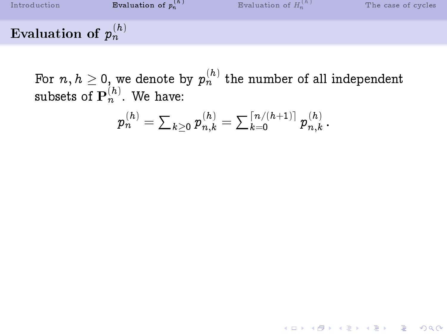[Introduction](#page-2-0) **Evaluation**  $\binom{h}{n}$  [Evaluation of](#page-20-0)  $H_n^{(h)}$ [The case of cycles](#page-36-0) Evaluation of  $p_n^{(h)}$ 

For  $n,h\geq 0,$  we denote by  $p_n^{(h)}$  the number of all independent subsets of  $\mathbf{P}_n^{(h)}$ . We have:

$$
p_n^{(h)} = \textstyle \sum_{k\geq 0} p_{n,k}^{(h)} = \sum_{k=0}^{\lceil n/(h+1)\rceil} p_{n,k}^{(h)}\,.
$$

**K ロ ▶ K 레 ▶ K 코 ▶ K 코 ▶ 『코』 ◆ 9 Q OK**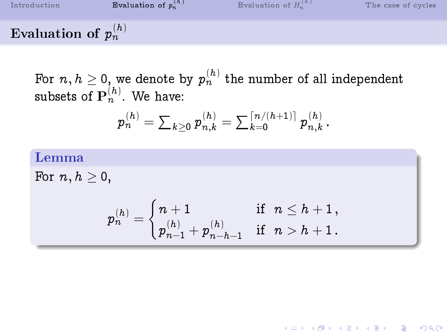[Introduction](#page-2-0) **[Evaluation of](#page-13-0)**  $p_n^{(h)}$  $\binom{h}{n}$  [Evaluation of](#page-20-0)  $H_n^{(h)}$ [The case of cycles](#page-36-0) Evaluation of  $p_n^{(h)}$ 

For  $n,h\geq 0,$  we denote by  $p_n^{(h)}$  the number of all independent subsets of  $\mathbf{P}_n^{(h)}$ . We have:

$$
p_n^{(h)} = \textstyle \sum_{k\geq 0} p_{n,k}^{(h)} = \sum_{k=0}^{\lceil n/(h+1)\rceil} p_{n,k}^{(h)}\,.
$$

## Lemma

For  $n, h \geq 0$ ,

$$
p_n^{(h)}=\begin{cases}n+1 & \text{if}\hspace{0.2cm} n\leq h+1\,,\\ p_{n-1}^{(h)}+p_{n-h-1}^{(h)} & \text{if}\hspace{0.2cm} n>h+1\,.\end{cases}
$$

K ロ ▶ K 個 ▶ K 할 ▶ K 할 ▶ 이 할 → 900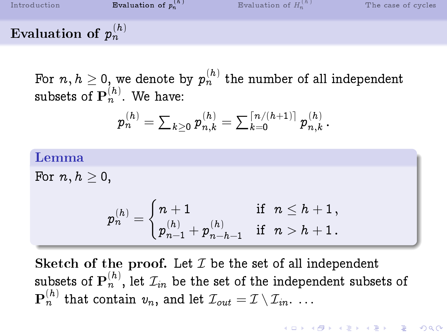[Introduction](#page-2-0) **[Evaluation of](#page-13-0)**  $p_n^{(h)}$  $\binom{h}{n}$  [Evaluation of](#page-20-0)  $H_n^{(h)}$ [The case of cycles](#page-36-0) Evaluation of  $p_n^{(h)}$ 

For  $n,h\geq 0,$  we denote by  $p_n^{(h)}$  the number of all independent subsets of  $\mathbf{P}_n^{(h)}$ . We have:

$$
p_n^{(h)} = \textstyle \sum_{k\geq 0} p_{n,k}^{(h)} = \sum_{k=0}^{\lceil n/(h+1)\rceil} p_{n,k}^{(h)}\,.
$$

#### Lemma

For  $n, h \geq 0$ ,

$$
p_n^{(h)}=\begin{cases}n+1 & \text{if}\hspace{0.2cm} n\leq h+1\,,\\ p_{n-1}^{(h)}+p_{n-h-1}^{(h)} & \text{if}\hspace{0.2cm} n>h+1\,.\end{cases}
$$

Sketch of the proof. Let  $\mathcal I$  be the set of all independent subsets of  $\mathbf{P}_n^{(h)},$  let  $\mathcal{I}_{in}$  be the set of the independent subsets of  $\mathbf{P}_n^{(h)}$  that contain  $v_n,$  and let  ${\mathcal I}_{out} = {\mathcal I} \setminus {\mathcal I}_{in}.$   $\ldots$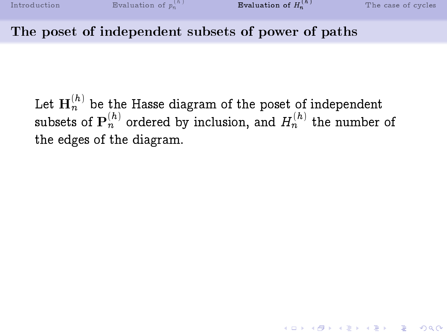#### The poset of independent subsets of power of paths

<span id="page-20-0"></span>Let  $\mathbf{H}_n^{(h)}$  be the Hasse diagram of the poset of independent subsets of  $\mathbf{P}_n^{(h)}$  ordered by inclusion, and  $H_n^{(h)}$  the number of the edges of the diagram.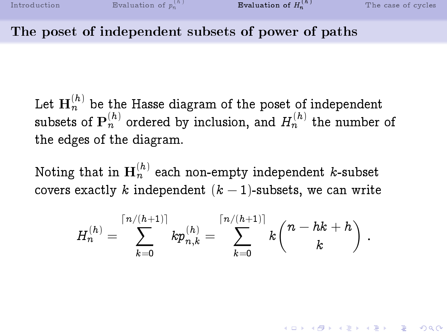#### The poset of independent subsets of power of paths

Let  $\mathbf{H}_n^{(h)}$  be the Hasse diagram of the poset of independent subsets of  $\mathbf{P}_n^{(h)}$  ordered by inclusion, and  $H_n^{(h)}$  the number of the edges of the diagram.

Noting that in  $\mathbf{H}_n^{(h)}$  each non-empty independent  $k$ -subset covers exactly k independent  $(k-1)$ -subsets, we can write

$$
H_n^{(h)} = \sum_{k=0}^{\lceil n/(h+1) \rceil} k p_{n,k}^{(h)} = \sum_{k=0}^{\lceil n/(h+1) \rceil} k \binom{n-hk+h}{k} \ .
$$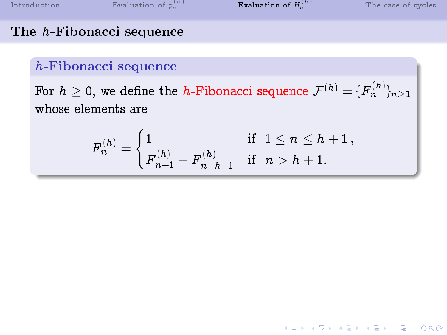K ロ ▶ K 個 ▶ K 할 ▶ K 할 ▶ 이 할 → 900

#### The h-Fibonacci sequence

#### h-Fibonacci sequence

For  $h\geq 0,$  we define the  $h$ -Fibonacci sequence  $\mathcal{F}^{(h)}=\{F^{(h)}_n\}_{n\geq 1}$ whose elements are

$$
F_n^{(h)}=\begin{cases} 1 & \text{ if } \ 1\leq n \leq h+1\,,\\ F_{n-1}^{(h)}+F_{n-h-1}^{(h)} & \text{ if } \ n>h+1. \end{cases}
$$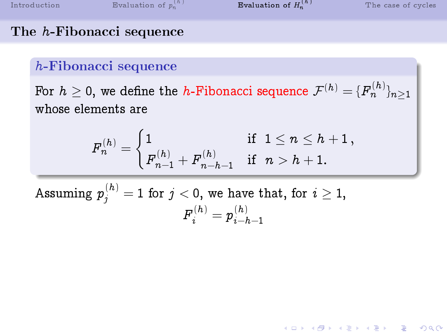**KOD START KED KEN EL VAN** 

#### The h-Fibonacci sequence

#### h-Fibonacci sequence

For  $h\geq 0,$  we define the  $h$ -Fibonacci sequence  $\mathcal{F}^{(h)}=\{F^{(h)}_n\}_{n\geq 1}$ whose elements are

$$
F_n^{(h)}=\begin{cases} 1 & \text{ if } \ 1\leq n \leq h+1\,,\\ F_{n-1}^{(h)}+F_{n-h-1}^{(h)} & \text{ if } \ n>h+1. \end{cases}
$$

Assuming  $p_j^{(h)}=1$  for  $j < 0,$  we have that, for  $i \geq 1,$  ${F}^{(h)}_i = {p}^{(h)}_{i-l}$  $i-h-1$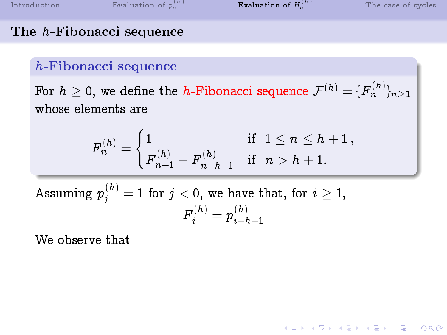K ロ ▶ K 個 ▶ K 할 ▶ K 할 ▶ 이 할 → 900

## The h-Fibonacci sequence

#### h-Fibonacci sequence

For  $h\geq 0,$  we define the  $h$ -Fibonacci sequence  $\mathcal{F}^{(h)}=\{F^{(h)}_n\}_{n\geq 1}$ whose elements are

$$
F_n^{(h)}=\begin{cases} 1 & \text{ if } \ 1\leq n \leq h+1\,,\\ F_{n-1}^{(h)}+F_{n-h-1}^{(h)} & \text{ if } \ n>h+1. \end{cases}
$$

Assuming 
$$
p_j^{(h)}=1
$$
 for  $j<0,$  we have that, for  $i\geq 1,$   $F_i^{(h)}=p_{i-h-1}^{(h)}$ 

We observe that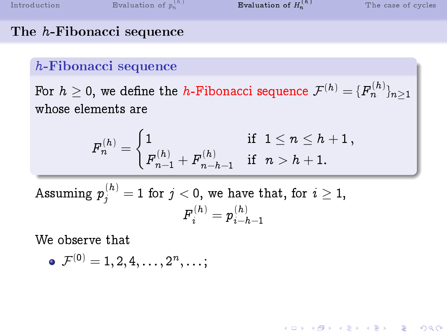**KOR & KERKER ADA KON** 

#### The h-Fibonacci sequence

#### h-Fibonacci sequence

For  $h\geq 0,$  we define the  $h$ -Fibonacci sequence  $\mathcal{F}^{(h)}=\{F^{(h)}_n\}_{n\geq 1}$ whose elements are

$$
F_n^{(h)}=\begin{cases} 1 & \text{ if } \ 1\leq n \leq h+1\,,\\ F_{n-1}^{(h)}+F_{n-h-1}^{(h)} & \text{ if } \ n>h+1. \end{cases}
$$

Assuming  $p_j^{(h)}=1$  for  $j < 0,$  we have that, for  $i \geq 1,$  ${F}^{(h)}_i = {p}^{(h)}_{i-l}$  $i-h-1$ 

We observe that

$$
\bullet\ \mathcal{F}^{(0)}=1,2,4,\ldots,2^n,\ldots;
$$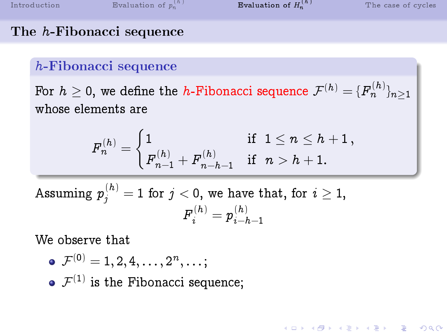**KOR & KERKER ADA KON** 

#### The h-Fibonacci sequence

#### h-Fibonacci sequence

For  $h\geq 0,$  we define the  $h$ -Fibonacci sequence  $\mathcal{F}^{(h)}=\{F^{(h)}_n\}_{n\geq 1}$ whose elements are

$$
F_n^{(h)}=\begin{cases} 1 & \text{ if } \ 1\leq n \leq h+1\,,\\ F_{n-1}^{(h)}+F_{n-h-1}^{(h)} & \text{ if } \ n>h+1. \end{cases}
$$

Assuming  $p_j^{(h)}=1$  for  $j < 0,$  we have that, for  $i \geq 1,$  ${F}^{(h)}_i = {p}^{(h)}_{i-l}$  $i-h-1$ 

We observe that

\n- $$
\mathcal{F}^{(0)} = 1, 2, 4, \ldots, 2^n, \ldots;
$$
\n- $\mathcal{F}^{(1)}$  is the Fibonacci sequence;
\n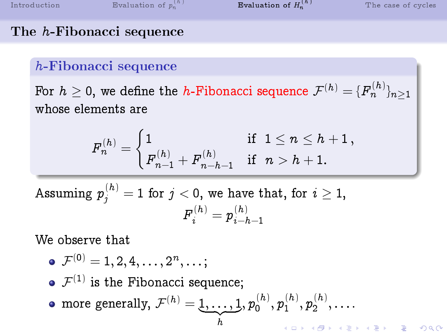#### The h-Fibonacci sequence

#### h-Fibonacci sequence

For  $h\geq 0,$  we define the  $h$ -Fibonacci sequence  $\mathcal{F}^{(h)}=\{F^{(h)}_n\}_{n\geq 1}$ whose elements are

$$
F_n^{(h)}=\begin{cases} 1 & \text{ if } \ 1\leq n \leq h+1\,,\\ F_{n-1}^{(h)}+F_{n-h-1}^{(h)} & \text{ if } \ n>h+1. \end{cases}
$$

Assuming  $p_j^{(h)}=1$  for  $j < 0,$  we have that, for  $i \geq 1,$  ${F}^{(h)}_i = {p}^{(h)}_{i-l}$  $i-h-1$ 

We observe that

$$
\bullet\ \mathcal{F}^{(0)}=1,2,4,\ldots,2^{n},\ldots;
$$

 $\mathcal{F}^{(1)}$  is the Fibonacci sequence;

more generally,  $\mathcal{F}^{(h)} = \underbrace{1, \ldots, 1}_{h}, p_0^{(h)}$  $\stackrel{(h)}{_{0}},\stackrel{(h)}{p_{1}^{(h)}}$  $\binom{(h)}{1},p_2^{(h)}$  $\binom{n}{2}$ ,  $\cdots$ 

h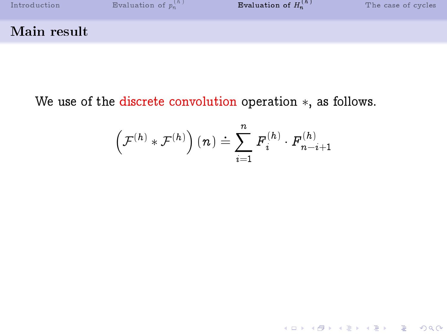

We use of the discrete convolution operation ∗, as follows.

$$
\left(\mathcal{F}^{(h)}\ast\mathcal{F}^{(h)}\right)(n)\doteq\sum_{i=1}^n\mathit{F}_i^{(h)}\cdot\mathit{F}_{n-i+1}^{(h)}
$$

K ロ ▶ K 御 ▶ K 할 ▶ K 할 ▶ 이 할 → 9 Q Q ·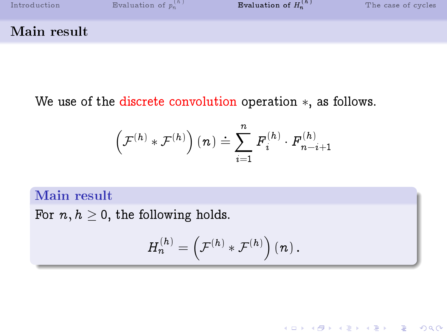

We use of the discrete convolution operation ∗, as follows.

$$
\left(\mathcal{F}^{(h)}\ast\mathcal{F}^{(h)}\right)(n)\doteq\sum_{i=1}^n\mathit{F}_i^{(h)}\cdot\mathit{F}_{n-i+1}^{(h)}
$$

#### Main result

For  $n, h > 0$ , the following holds.

$$
H_n^{(h)} = \left(\mathcal{F}^{(h)} \ast \mathcal{F}^{(h)}\right)(n) \,.
$$

K ロ ▶ K 個 ▶ K 할 ▶ K 할 ▶ 이 할 → 900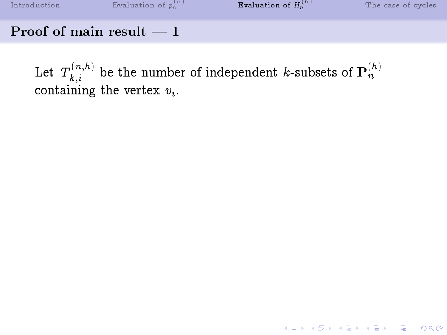#### Proof of main result  $-1$

Let  $T_{k,i}^{(n,h)}$  $\mathbf{h}_{k,i}^{(n,h)}$  be the number of independent  $k$ -subsets of  $\mathbf{P}_n^{(h)}$ containing the vertex  $v_i$ .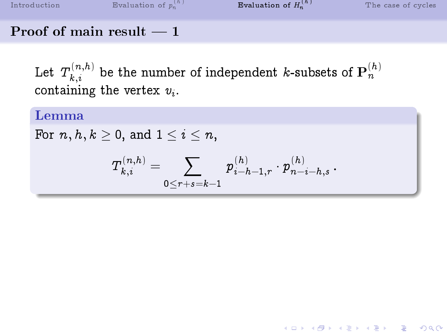K ロ ▶ K 個 ▶ K 할 ▶ K 할 ▶ 이 할 → 900

## Proof of main result  $-1$

Let  $T_{k,i}^{(n,h)}$  $\mathbf{h}_{k,i}^{(n,h)}$  be the number of independent  $k$ -subsets of  $\mathbf{P}_n^{(h)}$ containing the vertex  $v_i$ .

### Lemma

For  $n, h, k \geq 0$ , and  $1 \leq i \leq n$ ,

$$
T_{k,i}^{(n,h)} = \sum_{0 \leq r+s = k-1} \, p_{i-h-1,r}^{(h)} \cdot p_{n-i-h,s}^{(h)} \, .
$$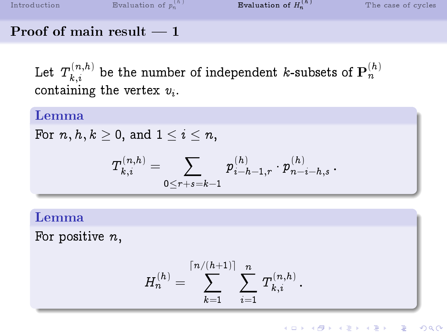## Proof of main result  $-1$

Let  $T_{k,i}^{(n,h)}$  $\mathbf{h}_{k,i}^{(n,h)}$  be the number of independent  $k$ -subsets of  $\mathbf{P}_n^{(h)}$ containing the vertex  $v_i$ .

## Lemma

For  $n, h, k \geq 0$ , and  $1 \leq i \leq n$ ,

$$
T^{(n,h)}_{k,i} = \sum_{0 \leq r+s = k-1} \, p^{(h)}_{i-h-1,r} \cdot p^{(h)}_{n-i-h,s} \, .
$$

## Lemma

For positive  $n$ ,

$$
H_n^{(h)} = \sum_{k=1}^{\lceil n/(h+1) \rceil} \sum_{i=1}^n \, T_{k,i}^{(n,h)} \, .
$$

**KOD START KED KEN EL VAN**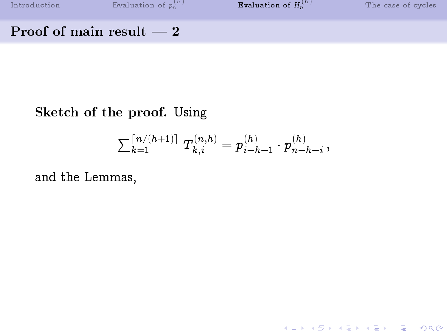$n^{(h)}$  **E**valuation of  $H_n^{(h)}$ 

K ロ ▶ K 御 ▶ K 할 ▶ K 할 ▶ 이 할 → 9 Q Q ·

#### Proof of main result  $-2$

## Sketch of the proof. Using

$$
\textstyle \sum \frac{\lceil n/(h+1)\rceil}{k=1}\; T^{(n,h)}_{k,i} = p^{(h)}_{i-h-1}\cdot p^{(h)}_{n-h-i}\,,
$$

and the Lemmas,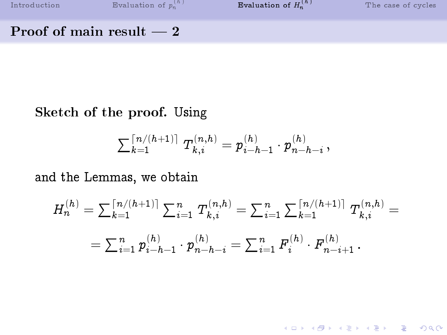$n^{(h)}$  **E**valuation of  $H_n^{(h)}$ 

K ロ ▶ K 레 ▶ K 코 ▶ K 코 ▶ 『코 │ ◆ 9 Q <del>○</del>

#### Proof of main result  $-2$

## Sketch of the proof. Using

$$
\textstyle \sum \frac{\lceil n/(h+1)\rceil}{k=1}\; T^{(n,h)}_{k,i} = p^{(h)}_{i-h-1}\cdot p^{(h)}_{n-h-i}\,,
$$

and the Lemmas, we obtain

$$
H_n^{(h)} = \sum_{k=1}^{\lceil n/(h+1) \rceil} \sum_{i=1}^n T_{k,i}^{(n,h)} = \sum_{i=1}^n \sum_{k=1}^{\lceil n/(h+1) \rceil} T_{k,i}^{(n,h)} =
$$
  
= 
$$
\sum_{i=1}^n p_{i-h-1}^{(h)} \cdot p_{n-h-i}^{(h)} = \sum_{i=1}^n F_i^{(h)} \cdot F_{n-i+1}^{(h)}.
$$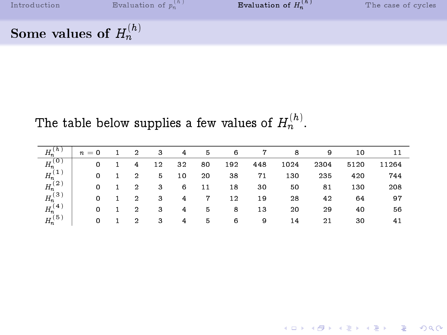K ロ ▶ K 個 ▶ K 할 > K 할 > 1 할 > 1 이익어

## Some values of  $H_n^{(h)}$

## The table below supplies a few values of  $H_n^{(\hbar)}.$

| $H_n^{\dagger}$ | $n=0$ | 2 | 3  | 4  | 5           | 6   | 7   | 8    | 9    | 10   | 11    |
|-----------------|-------|---|----|----|-------------|-----|-----|------|------|------|-------|
| $H_n^{(0)}$     | 0     | 4 | 12 | 32 | 80          | 192 | 448 | 1024 | 2304 | 5120 | 11264 |
| $H_n^{(1)}$     | 0     | 2 | 5  | 10 | 20          | 38  | 71  | 130  | 235  | 420  | 744   |
| $H_n^{(2)}$     | 0     | 2 | 3  | 6  | 11          | 18  | 30  | 50   | 81   | 130  | 208   |
| $H_n^{(3)}$     | 0     | 2 | 3  | 4  | $\mathbf 7$ | 12  | 19  | 28   | 42   | 64   | 97    |
| $H_n^{(4)}$     | 0     | 2 | 3  | 4  | 5           | 8   | 13  | 20   | 29   | 40   | 56    |
| $H_n^{(5)}$     | 0     | 2 | 3  | 4  | 5           | 6   | 9   | 14   | 21   | 30   | 41    |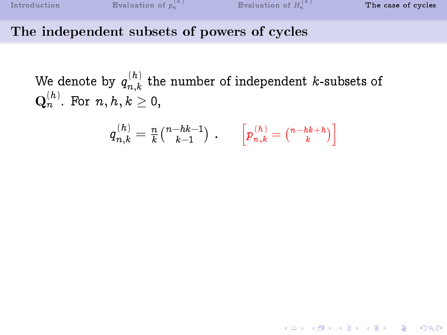#### The independent subsets of powers of cycles

We denote by  $q_{n,k}^{\,(h)}$  $\binom{n}{n,k}$  the number of independent k-subsets of  $\mathbf{Q}^{(h)}_{n}$ . For  $n, h, k \geq 0$ ,

<span id="page-36-0"></span>
$$
q_{n,k}^{(h)} = \tfrac{n}{k} \tbinom{n-hk-1}{k-1} \; . \qquad \left[ p_{n,k}^{(h)} = \tbinom{n-hk+h}{k} \right]
$$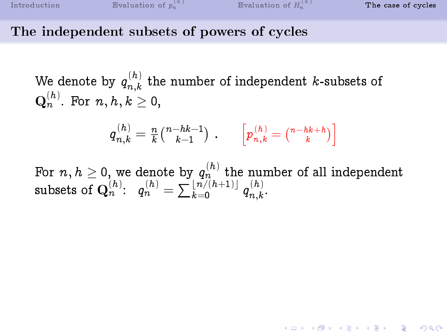#### The independent subsets of powers of cycles

We denote by  $q_{n,k}^{\,(h)}$  $\binom{n}{n,k}$  the number of independent k-subsets of  $\mathbf{Q}^{(h)}_{n}$ . For  $n, h, k \geq 0$ ,

$$
q_{n,k}^{(h)}=\tfrac{n}{k} \tbinom{n-hk-1}{k-1} \; . \qquad \left[ p_{n,k}^{(h)} = \tbinom{n-hk+h}{k} \right]
$$

For  $n,h\geq$  0, we denote by  $q_n^{(h)}$  the number of all independent subsets of  $\mathbf{Q}_n^{(h)}\text{:}\ \ \ q_n^{(h)}=\sum\limits_{k=0}^{\lfloor\,n/(h+1)\rfloor}\,q_{n,k}^{(h)}$  $n,k$ .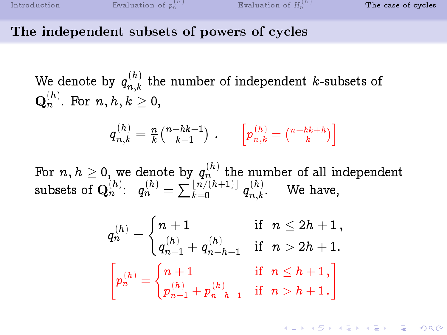#### The independent subsets of powers of cycles

We denote by  $q_{n,k}^{\,(h)}$  $\binom{n}{n,k}$  the number of independent k-subsets of  $\mathbf{Q}^{(h)}_{n}$ . For  $n, h, k \geq 0$ ,

$$
q_{n,k}^{(h)} = \frac{n}{k} \tbinom{n-hk-1}{k-1} \t\ . \qquad \left[ p_{n,k}^{(h)} = \tbinom{n-hk+h}{k} \right]
$$

For  $n,h\geq$  0, we denote by  $q_n^{(h)}$  the number of all independent subsets of  $\mathbf{Q}_n^{(h)}\text{:}\ \ \ q_n^{(h)}=\sum\limits_{k=0}^{\lfloor\,n/(h+1)\rfloor}\,q_{n,k}^{(h)}$  $\binom{n}{n,k}$ . We have,

$$
\begin{aligned} q^{(h)}_n &= \begin{cases} n+1 & \text{if} \hspace{0.2cm} n \leq 2h+1\,, \\ q^{(h)}_{n-1} + q^{(h)}_{n-h-1} & \text{if} \hspace{0.2cm} n > 2h+1\,. \end{cases}\\ \begin{bmatrix} p^{(h)}_n = \begin{cases} n+1 & \text{if} \hspace{0.2cm} n \leq h+1\,, \\ p^{(h)}_{n-1} + p^{(h)}_{n-h-1} & \text{if} \hspace{0.2cm} n > h+1\,. \end{cases} \end{aligned}
$$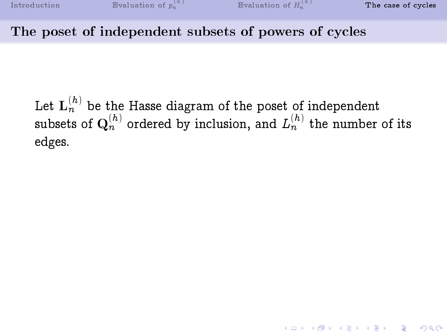## The poset of independent subsets of powers of cycles

Let  ${\bf L}_n^{(h)}$  be the Hasse diagram of the poset of independent subsets of  $\mathbf{Q}_n^{(h)}$  ordered by inclusion, and  $L_n^{(h)}$  the number of its edges.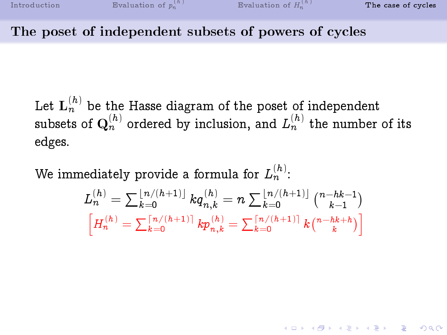#### The poset of independent subsets of powers of cycles

Let  ${\bf L}_n^{(h)}$  be the Hasse diagram of the poset of independent subsets of  $\mathbf{Q}_n^{(h)}$  ordered by inclusion, and  $L_n^{(h)}$  the number of its edges.

We immediately provide a formula for  $L_n^{(h)}$ :

$$
L_n^{(h)} = \sum_{k=0}^{\lfloor n/(h+1)\rfloor} k q_{n,k}^{(h)} = n \sum_{k=0}^{\lfloor n/(h+1)\rfloor} {n-hk-1 \choose k-1}
$$

$$
\left[ H_n^{(h)} = \sum_{k=0}^{\lceil n/(h+1)\rceil} k p_{n,k}^{(h)} = \sum_{k=0}^{\lceil n/(h+1)\rceil} k {n-hk+h \choose k} \right]
$$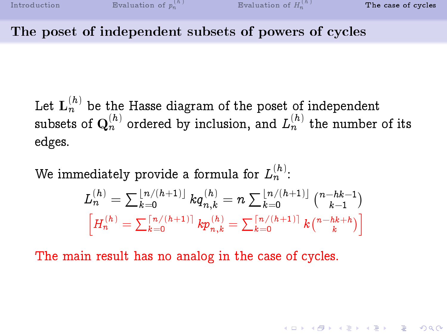#### The poset of independent subsets of powers of cycles

Let  ${\bf L}_n^{(h)}$  be the Hasse diagram of the poset of independent subsets of  $\mathbf{Q}_n^{(h)}$  ordered by inclusion, and  $L_n^{(h)}$  the number of its edges.

We immediately provide a formula for  $L_n^{(h)}$ :

$$
L_n^{(h)} = \sum_{k=0}^{\lfloor n/(h+1)\rfloor} k q_{n,k}^{(h)} = n \sum_{k=0}^{\lfloor n/(h+1)\rfloor} {{n-hk-1} \choose {k-1}}\\ \left[ H_n^{(h)} = \sum_{k=0}^{\lceil n/(h+1)\rceil} k p_{n,k}^{(h)} = \sum_{k=0}^{\lceil n/(h+1)\rceil} k {n-hk+h \choose k} \right]
$$

The main result has no analog in the case of cycles.